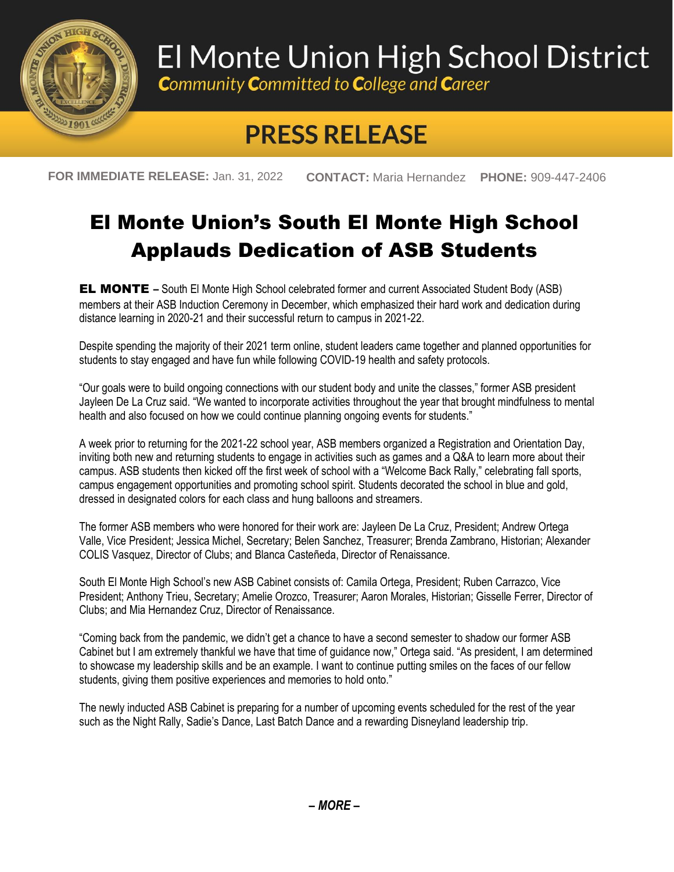

## El Monte Union High School District

**Community Committed to College and Career** 

## **PRESS RELEASE**

**FOR IMMEDIATE RELEASE:** Jan. 31, 2022 **CONTACT:** Maria Hernandez **PHONE:** 909-447-2406

## El Monte Union's South El Monte High School Applauds Dedication of ASB Students

EL MONTE **–** South El Monte High School celebrated former and current Associated Student Body (ASB) members at their ASB Induction Ceremony in December, which emphasized their hard work and dedication during distance learning in 2020-21 and their successful return to campus in 2021-22.

Despite spending the majority of their 2021 term online, student leaders came together and planned opportunities for students to stay engaged and have fun while following COVID-19 health and safety protocols.

"Our goals were to build ongoing connections with our student body and unite the classes," former ASB president Jayleen De La Cruz said. "We wanted to incorporate activities throughout the year that brought mindfulness to mental health and also focused on how we could continue planning ongoing events for students."

A week prior to returning for the 2021-22 school year, ASB members organized a Registration and Orientation Day, inviting both new and returning students to engage in activities such as games and a Q&A to learn more about their campus. ASB students then kicked off the first week of school with a "Welcome Back Rally," celebrating fall sports, campus engagement opportunities and promoting school spirit. Students decorated the school in blue and gold, dressed in designated colors for each class and hung balloons and streamers.

The former ASB members who were honored for their work are: Jayleen De La Cruz, President; Andrew Ortega Valle, Vice President; Jessica Michel, Secretary; Belen Sanchez, Treasurer; Brenda Zambrano, Historian; Alexander COLIS Vasquez, Director of Clubs; and Blanca Casteñeda, Director of Renaissance.

South El Monte High School's new ASB Cabinet consists of: Camila Ortega, President; Ruben Carrazco, Vice President; Anthony Trieu, Secretary; Amelie Orozco, Treasurer; Aaron Morales, Historian; Gisselle Ferrer, Director of Clubs; and Mia Hernandez Cruz, Director of Renaissance.

"Coming back from the pandemic, we didn't get a chance to have a second semester to shadow our former ASB Cabinet but I am extremely thankful we have that time of guidance now," Ortega said. "As president, I am determined to showcase my leadership skills and be an example. I want to continue putting smiles on the faces of our fellow students, giving them positive experiences and memories to hold onto."

The newly inducted ASB Cabinet is preparing for a number of upcoming events scheduled for the rest of the year such as the Night Rally, Sadie's Dance, Last Batch Dance and a rewarding Disneyland leadership trip.